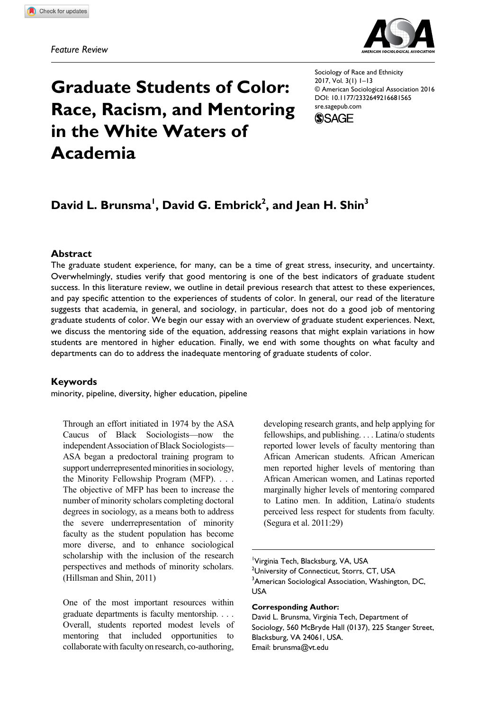**681[565](http://crossmark.crossref.org/dialog/?doi=10.1177%2F2332649216681565&domain=pdf&date_stamp=2016-12-20)**SREXXX10.1177/2332649216681565Sociology of Race and Ethnicity**Brunsma et al.**



# **Graduate Students of Color: Race, Racism, and Mentoring in the White Waters of Academia**

Sociology of Race and Ethnicity 2017, Vol. 3(1) 1–13 © American Sociological Association 2016 [DOI: 10.1177/2332649216681565](http://doi.org/10.1177/2332649216681565) [sre.sagepub.com](https://sre.sagepub.com)



# David L. Brunsma<sup>l</sup>, David G. Embrick<sup>2</sup>, and Jean H. Shin<sup>3</sup>

#### **Abstract**

The graduate student experience, for many, can be a time of great stress, insecurity, and uncertainty. Overwhelmingly, studies verify that good mentoring is one of the best indicators of graduate student success. In this literature review, we outline in detail previous research that attest to these experiences, and pay specific attention to the experiences of students of color. In general, our read of the literature suggests that academia, in general, and sociology, in particular, does not do a good job of mentoring graduate students of color. We begin our essay with an overview of graduate student experiences. Next, we discuss the mentoring side of the equation, addressing reasons that might explain variations in how students are mentored in higher education. Finally, we end with some thoughts on what faculty and departments can do to address the inadequate mentoring of graduate students of color.

#### **Keywords**

minority, pipeline, diversity, higher education, pipeline

Through an effort initiated in 1974 by the ASA Caucus of Black Sociologists—now the independent Association of Black Sociologists— ASA began a predoctoral training program to support underrepresented minorities in sociology, the Minority Fellowship Program (MFP). . . . The objective of MFP has been to increase the number of minority scholars completing doctoral degrees in sociology, as a means both to address the severe underrepresentation of minority faculty as the student population has become more diverse, and to enhance sociological scholarship with the inclusion of the research perspectives and methods of minority scholars. (Hillsman and Shin, 2011)

One of the most important resources within graduate departments is faculty mentorship. . . . Overall, students reported modest levels of mentoring that included opportunities to collaborate with faculty on research, co-authoring,

developing research grants, and help applying for fellowships, and publishing. . . . Latina/o students reported lower levels of faculty mentoring than African American students. African American men reported higher levels of mentoring than African American women, and Latinas reported marginally higher levels of mentoring compared to Latino men. In addition, Latina/o students perceived less respect for students from faculty. (Segura et al. 2011:29)

<sup>1</sup>Virginia Tech, Blacksburg, VA, USA <sup>2</sup>University of Connecticut, Storrs, CT, USA <sup>3</sup>American Sociological Association, Washington, DC, USA

**Corresponding Author:**

David L. Brunsma, Virginia Tech, Department of Sociology, 560 McBryde Hall (0137), 225 Stanger Street, Blacksburg, VA 24061, USA. Email: brunsma@vt.edu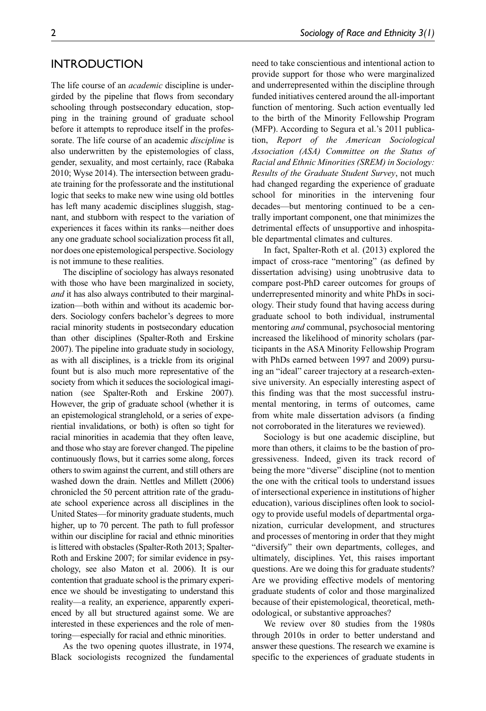#### **INTRODUCTION**

The life course of an *academic* discipline is undergirded by the pipeline that flows from secondary schooling through postsecondary education, stopping in the training ground of graduate school before it attempts to reproduce itself in the professorate. The life course of an academic *discipline* is also underwritten by the epistemologies of class, gender, sexuality, and most certainly, race (Rabaka 2010; Wyse 2014). The intersection between graduate training for the professorate and the institutional logic that seeks to make new wine using old bottles has left many academic disciplines sluggish, stagnant, and stubborn with respect to the variation of experiences it faces within its ranks—neither does any one graduate school socialization process fit all, nor does one epistemological perspective. Sociology is not immune to these realities.

The discipline of sociology has always resonated with those who have been marginalized in society, *and* it has also always contributed to their marginalization—both within and without its academic borders. Sociology confers bachelor's degrees to more racial minority students in postsecondary education than other disciplines (Spalter-Roth and Erskine 2007). The pipeline into graduate study in sociology, as with all disciplines, is a trickle from its original fount but is also much more representative of the society from which it seduces the sociological imagination (see Spalter-Roth and Erskine 2007). However, the grip of graduate school (whether it is an epistemological stranglehold, or a series of experiential invalidations, or both) is often so tight for racial minorities in academia that they often leave, and those who stay are forever changed. The pipeline continuously flows, but it carries some along, forces others to swim against the current, and still others are washed down the drain. Nettles and Millett (2006) chronicled the 50 percent attrition rate of the graduate school experience across all disciplines in the United States—for minority graduate students, much higher, up to 70 percent. The path to full professor within our discipline for racial and ethnic minorities is littered with obstacles (Spalter-Roth 2013; Spalter-Roth and Erskine 2007; for similar evidence in psychology, see also Maton et al. 2006). It is our contention that graduate school is the primary experience we should be investigating to understand this reality—a reality, an experience, apparently experienced by all but structured against some. We are interested in these experiences and the role of mentoring—especially for racial and ethnic minorities.

As the two opening quotes illustrate, in 1974, Black sociologists recognized the fundamental need to take conscientious and intentional action to provide support for those who were marginalized and underrepresented within the discipline through funded initiatives centered around the all-important function of mentoring. Such action eventually led to the birth of the Minority Fellowship Program (MFP). According to Segura et al.'s 2011 publication, *Report of the American Sociological Association (ASA) Committee on the Status of Racial and Ethnic Minorities (SREM) in Sociology: Results of the Graduate Student Survey*, not much had changed regarding the experience of graduate school for minorities in the intervening four decades—but mentoring continued to be a centrally important component, one that minimizes the detrimental effects of unsupportive and inhospitable departmental climates and cultures.

In fact, Spalter-Roth et al. (2013) explored the impact of cross-race "mentoring" (as defined by dissertation advising) using unobtrusive data to compare post-PhD career outcomes for groups of underrepresented minority and white PhDs in sociology. Their study found that having access during graduate school to both individual, instrumental mentoring *and* communal, psychosocial mentoring increased the likelihood of minority scholars (participants in the ASA Minority Fellowship Program with PhDs earned between 1997 and 2009) pursuing an "ideal" career trajectory at a research-extensive university. An especially interesting aspect of this finding was that the most successful instrumental mentoring, in terms of outcomes, came from white male dissertation advisors (a finding not corroborated in the literatures we reviewed).

Sociology is but one academic discipline, but more than others, it claims to be the bastion of progressiveness. Indeed, given its track record of being the more "diverse" discipline (not to mention the one with the critical tools to understand issues of intersectional experience in institutions of higher education), various disciplines often look to sociology to provide useful models of departmental organization, curricular development, and structures and processes of mentoring in order that they might "diversify" their own departments, colleges, and ultimately, disciplines. Yet, this raises important questions. Are we doing this for graduate students? Are we providing effective models of mentoring graduate students of color and those marginalized because of their epistemological, theoretical, methodological, or substantive approaches?

We review over 80 studies from the 1980s through 2010s in order to better understand and answer these questions. The research we examine is specific to the experiences of graduate students in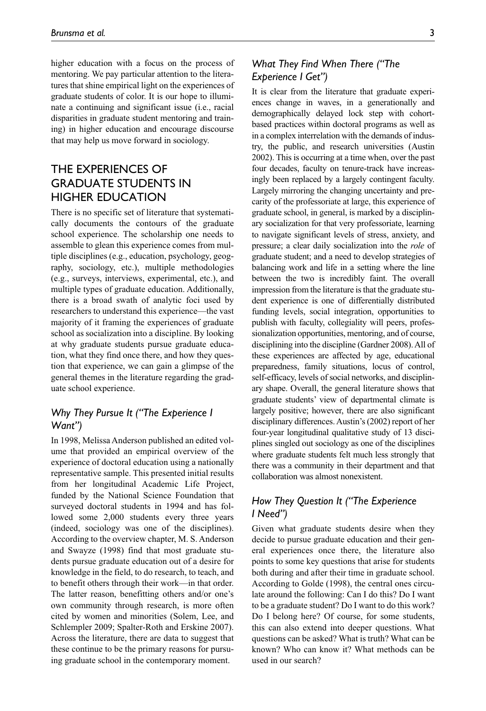higher education with a focus on the process of mentoring. We pay particular attention to the literatures that shine empirical light on the experiences of graduate students of color. It is our hope to illuminate a continuing and significant issue (i.e., racial disparities in graduate student mentoring and training) in higher education and encourage discourse that may help us move forward in sociology.

# The Experiences of Graduate Students in Higher Education

There is no specific set of literature that systematically documents the contours of the graduate school experience. The scholarship one needs to assemble to glean this experience comes from multiple disciplines (e.g., education, psychology, geography, sociology, etc.), multiple methodologies (e.g., surveys, interviews, experimental, etc.), and multiple types of graduate education. Additionally, there is a broad swath of analytic foci used by researchers to understand this experience—the vast majority of it framing the experiences of graduate school as socialization into a discipline. By looking at why graduate students pursue graduate education, what they find once there, and how they question that experience, we can gain a glimpse of the general themes in the literature regarding the graduate school experience.

#### *Why They Pursue It ("The Experience I Want")*

In 1998, Melissa Anderson published an edited volume that provided an empirical overview of the experience of doctoral education using a nationally representative sample. This presented initial results from her longitudinal Academic Life Project, funded by the National Science Foundation that surveyed doctoral students in 1994 and has followed some 2,000 students every three years (indeed, sociology was one of the disciplines). According to the overview chapter, M. S. Anderson and Swayze (1998) find that most graduate students pursue graduate education out of a desire for knowledge in the field, to do research, to teach, and to benefit others through their work—in that order. The latter reason, benefitting others and/or one's own community through research, is more often cited by women and minorities (Solem, Lee, and Schlempler 2009; Spalter-Roth and Erskine 2007). Across the literature, there are data to suggest that these continue to be the primary reasons for pursuing graduate school in the contemporary moment.

## *What They Find When There ("The Experience I Get")*

It is clear from the literature that graduate experiences change in waves, in a generationally and demographically delayed lock step with cohortbased practices within doctoral programs as well as in a complex interrelation with the demands of industry, the public, and research universities (Austin 2002). This is occurring at a time when, over the past four decades, faculty on tenure-track have increasingly been replaced by a largely contingent faculty. Largely mirroring the changing uncertainty and precarity of the professoriate at large, this experience of graduate school, in general, is marked by a disciplinary socialization for that very professoriate, learning to navigate significant levels of stress, anxiety, and pressure; a clear daily socialization into the *role* of graduate student; and a need to develop strategies of balancing work and life in a setting where the line between the two is incredibly faint. The overall impression from the literature is that the graduate student experience is one of differentially distributed funding levels, social integration, opportunities to publish with faculty, collegiality will peers, professionalization opportunities, mentoring, and of course, disciplining into the discipline (Gardner 2008). All of these experiences are affected by age, educational preparedness, family situations, locus of control, self-efficacy, levels of social networks, and disciplinary shape. Overall, the general literature shows that graduate students' view of departmental climate is largely positive; however, there are also significant disciplinary differences. Austin's (2002) report of her four-year longitudinal qualitative study of 13 disciplines singled out sociology as one of the disciplines where graduate students felt much less strongly that there was a community in their department and that collaboration was almost nonexistent.

## *How They Question It ("The Experience I Need")*

Given what graduate students desire when they decide to pursue graduate education and their general experiences once there, the literature also points to some key questions that arise for students both during and after their time in graduate school. According to Golde (1998), the central ones circulate around the following: Can I do this? Do I want to be a graduate student? Do I want to do this work? Do I belong here? Of course, for some students, this can also extend into deeper questions. What questions can be asked? What is truth? What can be known? Who can know it? What methods can be used in our search?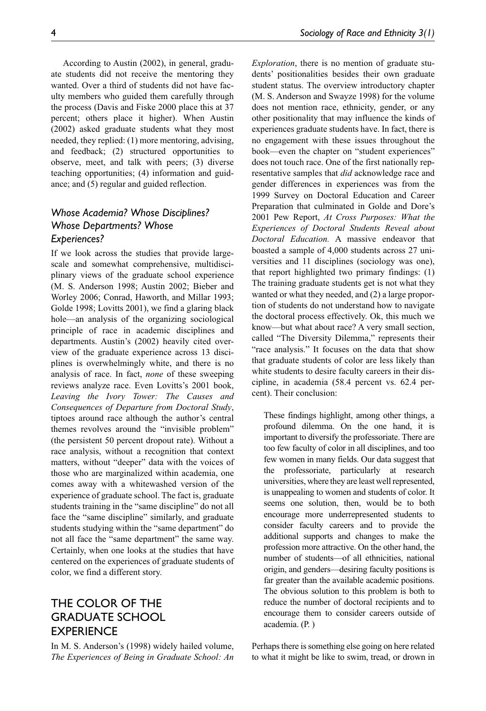According to Austin (2002), in general, graduate students did not receive the mentoring they wanted. Over a third of students did not have faculty members who guided them carefully through the process (Davis and Fiske 2000 place this at 37 percent; others place it higher). When Austin (2002) asked graduate students what they most needed, they replied: (1) more mentoring, advising, and feedback; (2) structured opportunities to observe, meet, and talk with peers; (3) diverse teaching opportunities; (4) information and guidance; and (5) regular and guided reflection.

## *Whose Academia? Whose Disciplines? Whose Departments? Whose Experiences?*

If we look across the studies that provide largescale and somewhat comprehensive, multidisciplinary views of the graduate school experience (M. S. Anderson 1998; Austin 2002; Bieber and Worley 2006; Conrad, Haworth, and Millar 1993; Golde 1998; Lovitts 2001), we find a glaring black hole—an analysis of the organizing sociological principle of race in academic disciplines and departments. Austin's (2002) heavily cited overview of the graduate experience across 13 disciplines is overwhelmingly white, and there is no analysis of race. In fact, *none* of these sweeping reviews analyze race. Even Lovitts's 2001 book, *Leaving the Ivory Tower: The Causes and Consequences of Departure from Doctoral Study*, tiptoes around race although the author's central themes revolves around the "invisible problem" (the persistent 50 percent dropout rate). Without a race analysis, without a recognition that context matters, without "deeper" data with the voices of those who are marginalized within academia, one comes away with a whitewashed version of the experience of graduate school. The fact is, graduate students training in the "same discipline" do not all face the "same discipline" similarly, and graduate students studying within the "same department" do not all face the "same department" the same way. Certainly, when one looks at the studies that have centered on the experiences of graduate students of color, we find a different story.

# The Color of the Graduate School **EXPERIENCE**

In M. S. Anderson's (1998) widely hailed volume, *The Experiences of Being in Graduate School: An* 

*Exploration*, there is no mention of graduate students' positionalities besides their own graduate student status. The overview introductory chapter (M. S. Anderson and Swayze 1998) for the volume does not mention race, ethnicity, gender, or any other positionality that may influence the kinds of experiences graduate students have. In fact, there is no engagement with these issues throughout the book—even the chapter on "student experiences" does not touch race. One of the first nationally representative samples that *did* acknowledge race and gender differences in experiences was from the 1999 Survey on Doctoral Education and Career Preparation that culminated in Golde and Dore's 2001 Pew Report, *At Cross Purposes: What the Experiences of Doctoral Students Reveal about Doctoral Education.* A massive endeavor that boasted a sample of 4,000 students across 27 universities and 11 disciplines (sociology was one), that report highlighted two primary findings: (1) The training graduate students get is not what they wanted or what they needed, and (2) a large proportion of students do not understand how to navigate the doctoral process effectively. Ok, this much we know—but what about race? A very small section, called "The Diversity Dilemma," represents their "race analysis." It focuses on the data that show that graduate students of color are less likely than white students to desire faculty careers in their discipline, in academia (58.4 percent vs. 62.4 percent). Their conclusion:

These findings highlight, among other things, a profound dilemma. On the one hand, it is important to diversify the professoriate. There are too few faculty of color in all disciplines, and too few women in many fields. Our data suggest that the professoriate, particularly at research universities, where they are least well represented, is unappealing to women and students of color. It seems one solution, then, would be to both encourage more underrepresented students to consider faculty careers and to provide the additional supports and changes to make the profession more attractive. On the other hand, the number of students—of all ethnicities, national origin, and genders—desiring faculty positions is far greater than the available academic positions. The obvious solution to this problem is both to reduce the number of doctoral recipients and to encourage them to consider careers outside of academia. (P. )

Perhaps there is something else going on here related to what it might be like to swim, tread, or drown in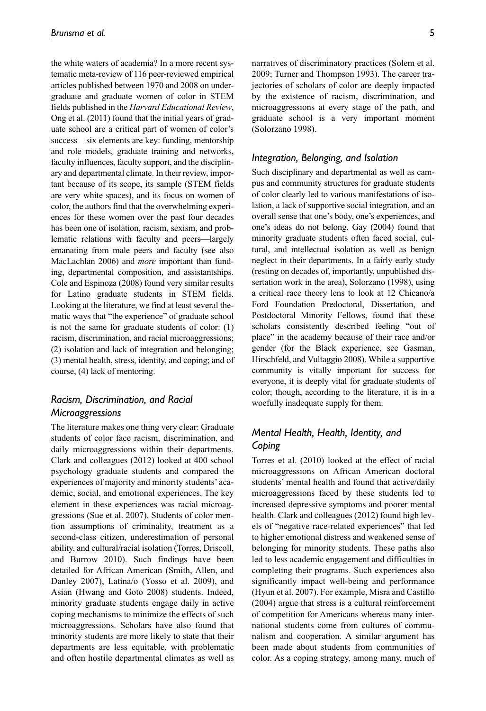the white waters of academia? In a more recent systematic meta-review of 116 peer-reviewed empirical articles published between 1970 and 2008 on undergraduate and graduate women of color in STEM fields published in the *Harvard Educational Review*, Ong et al. (2011) found that the initial years of graduate school are a critical part of women of color's success—six elements are key: funding, mentorship and role models, graduate training and networks, faculty influences, faculty support, and the disciplinary and departmental climate. In their review, important because of its scope, its sample (STEM fields are very white spaces), and its focus on women of color, the authors find that the overwhelming experiences for these women over the past four decades has been one of isolation, racism, sexism, and problematic relations with faculty and peers—largely emanating from male peers and faculty (see also MacLachlan 2006) and *more* important than funding, departmental composition, and assistantships. Cole and Espinoza (2008) found very similar results for Latino graduate students in STEM fields. Looking at the literature, we find at least several thematic ways that "the experience" of graduate school is not the same for graduate students of color: (1) racism, discrimination, and racial microaggressions; (2) isolation and lack of integration and belonging; (3) mental health, stress, identity, and coping; and of course, (4) lack of mentoring.

#### *Racism, Discrimination, and Racial Microaggressions*

The literature makes one thing very clear: Graduate students of color face racism, discrimination, and daily microaggressions within their departments. Clark and colleagues (2012) looked at 400 school psychology graduate students and compared the experiences of majority and minority students' academic, social, and emotional experiences. The key element in these experiences was racial microaggressions (Sue et al. 2007). Students of color mention assumptions of criminality, treatment as a second-class citizen, underestimation of personal ability, and cultural/racial isolation (Torres, Driscoll, and Burrow 2010). Such findings have been detailed for African American (Smith, Allen, and Danley 2007), Latina/o (Yosso et al. 2009), and Asian (Hwang and Goto 2008) students. Indeed, minority graduate students engage daily in active coping mechanisms to minimize the effects of such microaggressions. Scholars have also found that minority students are more likely to state that their departments are less equitable, with problematic and often hostile departmental climates as well as narratives of discriminatory practices (Solem et al. 2009; Turner and Thompson 1993). The career trajectories of scholars of color are deeply impacted by the existence of racism, discrimination, and microaggressions at every stage of the path, and graduate school is a very important moment (Solorzano 1998).

#### *Integration, Belonging, and Isolation*

Such disciplinary and departmental as well as campus and community structures for graduate students of color clearly led to various manifestations of isolation, a lack of supportive social integration, and an overall sense that one's body, one's experiences, and one's ideas do not belong. Gay (2004) found that minority graduate students often faced social, cultural, and intellectual isolation as well as benign neglect in their departments. In a fairly early study (resting on decades of, importantly, unpublished dissertation work in the area), Solorzano (1998), using a critical race theory lens to look at 12 Chicano/a Ford Foundation Predoctoral, Dissertation, and Postdoctoral Minority Fellows, found that these scholars consistently described feeling "out of place" in the academy because of their race and/or gender (for the Black experience, see Gasman, Hirschfeld, and Vultaggio 2008). While a supportive community is vitally important for success for everyone, it is deeply vital for graduate students of color; though, according to the literature, it is in a woefully inadequate supply for them.

#### *Mental Health, Health, Identity, and Coping*

Torres et al. (2010) looked at the effect of racial microaggressions on African American doctoral students' mental health and found that active/daily microaggressions faced by these students led to increased depressive symptoms and poorer mental health. Clark and colleagues (2012) found high levels of "negative race-related experiences" that led to higher emotional distress and weakened sense of belonging for minority students. These paths also led to less academic engagement and difficulties in completing their programs. Such experiences also significantly impact well-being and performance (Hyun et al. 2007). For example, Misra and Castillo (2004) argue that stress is a cultural reinforcement of competition for Americans whereas many international students come from cultures of communalism and cooperation. A similar argument has been made about students from communities of color. As a coping strategy, among many, much of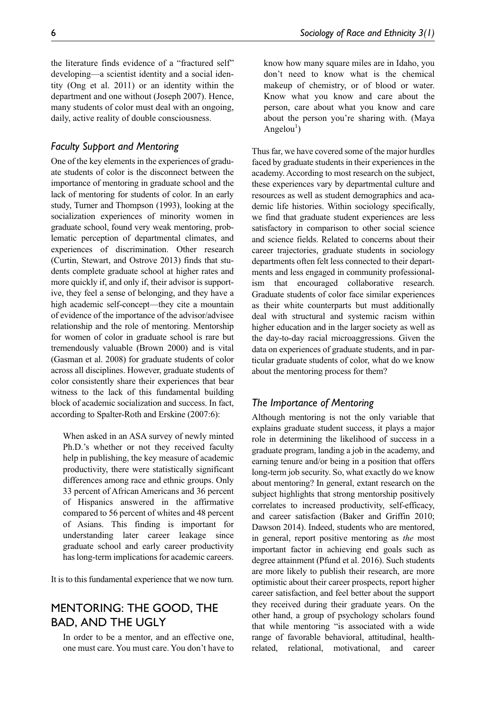the literature finds evidence of a "fractured self" developing—a scientist identity and a social identity (Ong et al. 2011) or an identity within the department and one without (Joseph 2007). Hence, many students of color must deal with an ongoing, daily, active reality of double consciousness.

#### *Faculty Support and Mentoring*

One of the key elements in the experiences of graduate students of color is the disconnect between the importance of mentoring in graduate school and the lack of mentoring for students of color. In an early study, Turner and Thompson (1993), looking at the socialization experiences of minority women in graduate school, found very weak mentoring, problematic perception of departmental climates, and experiences of discrimination. Other research (Curtin, Stewart, and Ostrove 2013) finds that students complete graduate school at higher rates and more quickly if, and only if, their advisor is supportive, they feel a sense of belonging, and they have a high academic self-concept—they cite a mountain of evidence of the importance of the advisor/advisee relationship and the role of mentoring. Mentorship for women of color in graduate school is rare but tremendously valuable (Brown 2000) and is vital (Gasman et al. 2008) for graduate students of color across all disciplines. However, graduate students of color consistently share their experiences that bear witness to the lack of this fundamental building block of academic socialization and success. In fact, according to Spalter-Roth and Erskine (2007:6):

When asked in an ASA survey of newly minted Ph.D.'s whether or not they received faculty help in publishing, the key measure of academic productivity, there were statistically significant differences among race and ethnic groups. Only 33 percent of African Americans and 36 percent of Hispanics answered in the affirmative compared to 56 percent of whites and 48 percent of Asians. This finding is important for understanding later career leakage since graduate school and early career productivity has long-term implications for academic careers.

It is to this fundamental experience that we now turn.

## Mentoring: The Good, the Bad, and the Ugly

In order to be a mentor, and an effective one, one must care. You must care. You don't have to know how many square miles are in Idaho, you don't need to know what is the chemical makeup of chemistry, or of blood or water. Know what you know and care about the person, care about what you know and care about the person you're sharing with. (Maya Angelou<sup>1</sup>)

Thus far, we have covered some of the major hurdles faced by graduate students in their experiences in the academy. According to most research on the subject, these experiences vary by departmental culture and resources as well as student demographics and academic life histories. Within sociology specifically, we find that graduate student experiences are less satisfactory in comparison to other social science and science fields. Related to concerns about their career trajectories, graduate students in sociology departments often felt less connected to their departments and less engaged in community professionalism that encouraged collaborative research. Graduate students of color face similar experiences as their white counterparts but must additionally deal with structural and systemic racism within higher education and in the larger society as well as the day-to-day racial microaggressions. Given the data on experiences of graduate students, and in particular graduate students of color, what do we know about the mentoring process for them?

#### *The Importance of Mentoring*

Although mentoring is not the only variable that explains graduate student success, it plays a major role in determining the likelihood of success in a graduate program, landing a job in the academy, and earning tenure and/or being in a position that offers long-term job security. So, what exactly do we know about mentoring? In general, extant research on the subject highlights that strong mentorship positively correlates to increased productivity, self-efficacy, and career satisfaction (Baker and Griffin 2010; Dawson 2014). Indeed, students who are mentored, in general, report positive mentoring as *the* most important factor in achieving end goals such as degree attainment (Pfund et al. 2016). Such students are more likely to publish their research, are more optimistic about their career prospects, report higher career satisfaction, and feel better about the support they received during their graduate years. On the other hand, a group of psychology scholars found that while mentoring "is associated with a wide range of favorable behavioral, attitudinal, healthrelated, relational, motivational, and career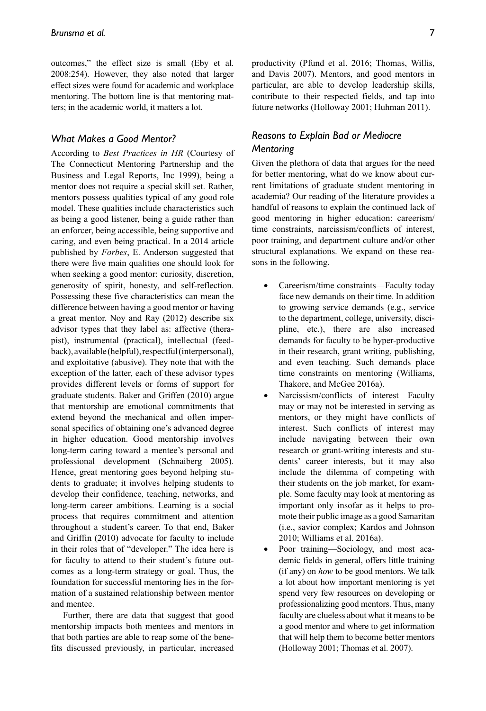outcomes," the effect size is small (Eby et al. 2008:254). However, they also noted that larger effect sizes were found for academic and workplace mentoring. The bottom line is that mentoring matters; in the academic world, it matters a lot.

#### *What Makes a Good Mentor?*

According to *Best Practices in HR* (Courtesy of The Connecticut Mentoring Partnership and the Business and Legal Reports, Inc 1999), being a mentor does not require a special skill set. Rather, mentors possess qualities typical of any good role model. These qualities include characteristics such as being a good listener, being a guide rather than an enforcer, being accessible, being supportive and caring, and even being practical. In a 2014 article published by *Forbes*, E. Anderson suggested that there were five main qualities one should look for when seeking a good mentor: curiosity, discretion, generosity of spirit, honesty, and self-reflection. Possessing these five characteristics can mean the difference between having a good mentor or having a great mentor. Noy and Ray (2012) describe six advisor types that they label as: affective (therapist), instrumental (practical), intellectual (feedback), available (helpful), respectful (interpersonal), and exploitative (abusive). They note that with the exception of the latter, each of these advisor types provides different levels or forms of support for graduate students. Baker and Griffen (2010) argue that mentorship are emotional commitments that extend beyond the mechanical and often impersonal specifics of obtaining one's advanced degree in higher education. Good mentorship involves long-term caring toward a mentee's personal and professional development (Schnaiberg 2005). Hence, great mentoring goes beyond helping students to graduate; it involves helping students to develop their confidence, teaching, networks, and long-term career ambitions. Learning is a social process that requires commitment and attention throughout a student's career. To that end, Baker and Griffin (2010) advocate for faculty to include in their roles that of "developer." The idea here is for faculty to attend to their student's future outcomes as a long-term strategy or goal. Thus, the foundation for successful mentoring lies in the formation of a sustained relationship between mentor and mentee.

Further, there are data that suggest that good mentorship impacts both mentees and mentors in that both parties are able to reap some of the benefits discussed previously, in particular, increased

productivity (Pfund et al. 2016; Thomas, Willis, and Davis 2007). Mentors, and good mentors in particular, are able to develop leadership skills, contribute to their respected fields, and tap into future networks (Holloway 2001; Huhman 2011).

#### *Reasons to Explain Bad or Mediocre Mentoring*

Given the plethora of data that argues for the need for better mentoring, what do we know about current limitations of graduate student mentoring in academia? Our reading of the literature provides a handful of reasons to explain the continued lack of good mentoring in higher education: careerism/ time constraints, narcissism/conflicts of interest, poor training, and department culture and/or other structural explanations. We expand on these reasons in the following.

- Careerism/time constraints—Faculty today face new demands on their time. In addition to growing service demands (e.g., service to the department, college, university, discipline, etc.), there are also increased demands for faculty to be hyper-productive in their research, grant writing, publishing, and even teaching. Such demands place time constraints on mentoring (Williams, Thakore, and McGee 2016a).
- Narcissism/conflicts of interest—Faculty may or may not be interested in serving as mentors, or they might have conflicts of interest. Such conflicts of interest may include navigating between their own research or grant-writing interests and students' career interests, but it may also include the dilemma of competing with their students on the job market, for example. Some faculty may look at mentoring as important only insofar as it helps to promote their public image as a good Samaritan (i.e., savior complex; Kardos and Johnson 2010; Williams et al. 2016a).
- Poor training—Sociology, and most academic fields in general, offers little training (if any) on *how* to be good mentors. We talk a lot about how important mentoring is yet spend very few resources on developing or professionalizing good mentors. Thus, many faculty are clueless about what it means to be a good mentor and where to get information that will help them to become better mentors (Holloway 2001; Thomas et al. 2007).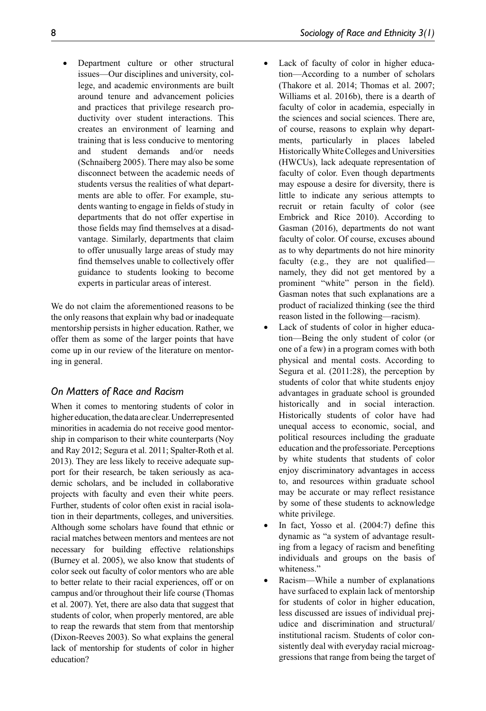Department culture or other structural issues—Our disciplines and university, college, and academic environments are built around tenure and advancement policies and practices that privilege research productivity over student interactions. This creates an environment of learning and training that is less conducive to mentoring and student demands and/or needs (Schnaiberg 2005). There may also be some disconnect between the academic needs of students versus the realities of what departments are able to offer. For example, students wanting to engage in fields of study in departments that do not offer expertise in those fields may find themselves at a disadvantage. Similarly, departments that claim to offer unusually large areas of study may find themselves unable to collectively offer guidance to students looking to become experts in particular areas of interest.

We do not claim the aforementioned reasons to be the only reasons that explain why bad or inadequate mentorship persists in higher education. Rather, we offer them as some of the larger points that have come up in our review of the literature on mentoring in general.

## *On Matters of Race and Racism*

When it comes to mentoring students of color in higher education, the data are clear. Underrepresented minorities in academia do not receive good mentorship in comparison to their white counterparts (Noy and Ray 2012; Segura et al. 2011; Spalter-Roth et al. 2013). They are less likely to receive adequate support for their research, be taken seriously as academic scholars, and be included in collaborative projects with faculty and even their white peers. Further, students of color often exist in racial isolation in their departments, colleges, and universities. Although some scholars have found that ethnic or racial matches between mentors and mentees are not necessary for building effective relationships (Burney et al. 2005), we also know that students of color seek out faculty of color mentors who are able to better relate to their racial experiences, off or on campus and/or throughout their life course (Thomas et al. 2007). Yet, there are also data that suggest that students of color, when properly mentored, are able to reap the rewards that stem from that mentorship (Dixon-Reeves 2003). So what explains the general lack of mentorship for students of color in higher education?

- Lack of faculty of color in higher education—According to a number of scholars (Thakore et al. 2014; Thomas et al. 2007; Williams et al. 2016b), there is a dearth of faculty of color in academia, especially in the sciences and social sciences. There are, of course, reasons to explain why departments, particularly in places labeled Historically White Colleges and Universities (HWCUs), lack adequate representation of faculty of color. Even though departments may espouse a desire for diversity, there is little to indicate any serious attempts to recruit or retain faculty of color (see Embrick and Rice 2010). According to Gasman (2016), departments do not want faculty of color. Of course, excuses abound as to why departments do not hire minority faculty (e.g., they are not qualified namely, they did not get mentored by a prominent "white" person in the field). Gasman notes that such explanations are a product of racialized thinking (see the third reason listed in the following—racism).
- Lack of students of color in higher education—Being the only student of color (or one of a few) in a program comes with both physical and mental costs. According to Segura et al. (2011:28), the perception by students of color that white students enjoy advantages in graduate school is grounded historically and in social interaction. Historically students of color have had unequal access to economic, social, and political resources including the graduate education and the professoriate. Perceptions by white students that students of color enjoy discriminatory advantages in access to, and resources within graduate school may be accurate or may reflect resistance by some of these students to acknowledge white privilege.
- In fact, Yosso et al. (2004:7) define this dynamic as "a system of advantage resulting from a legacy of racism and benefiting individuals and groups on the basis of whiteness."
- Racism—While a number of explanations have surfaced to explain lack of mentorship for students of color in higher education, less discussed are issues of individual prejudice and discrimination and structural/ institutional racism. Students of color consistently deal with everyday racial microaggressions that range from being the target of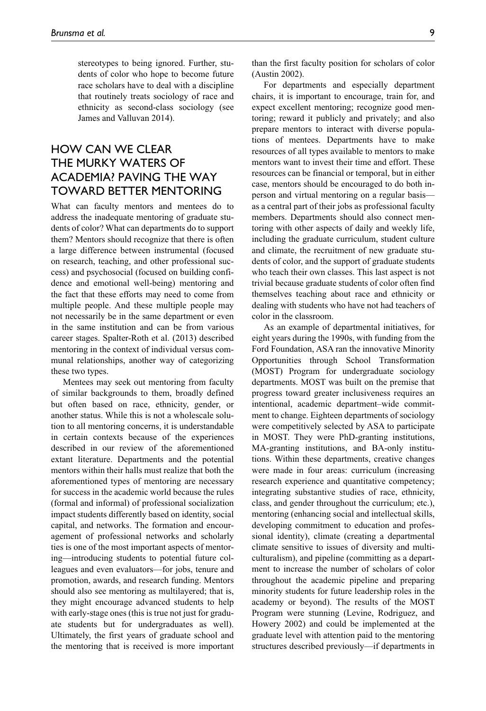stereotypes to being ignored. Further, students of color who hope to become future race scholars have to deal with a discipline that routinely treats sociology of race and ethnicity as second-class sociology (see James and Valluvan 2014).

# HOW CAN WF CLEAR the Murky Waters of Academia? Paving the Way Toward Better Mentoring

What can faculty mentors and mentees do to address the inadequate mentoring of graduate students of color? What can departments do to support them? Mentors should recognize that there is often a large difference between instrumental (focused on research, teaching, and other professional success) and psychosocial (focused on building confidence and emotional well-being) mentoring and the fact that these efforts may need to come from multiple people. And these multiple people may not necessarily be in the same department or even in the same institution and can be from various career stages. Spalter-Roth et al. (2013) described mentoring in the context of individual versus communal relationships, another way of categorizing these two types.

Mentees may seek out mentoring from faculty of similar backgrounds to them, broadly defined but often based on race, ethnicity, gender, or another status. While this is not a wholescale solution to all mentoring concerns, it is understandable in certain contexts because of the experiences described in our review of the aforementioned extant literature. Departments and the potential mentors within their halls must realize that both the aforementioned types of mentoring are necessary for success in the academic world because the rules (formal and informal) of professional socialization impact students differently based on identity, social capital, and networks. The formation and encouragement of professional networks and scholarly ties is one of the most important aspects of mentoring—introducing students to potential future colleagues and even evaluators—for jobs, tenure and promotion, awards, and research funding. Mentors should also see mentoring as multilayered; that is, they might encourage advanced students to help with early-stage ones (this is true not just for graduate students but for undergraduates as well). Ultimately, the first years of graduate school and the mentoring that is received is more important

than the first faculty position for scholars of color (Austin 2002).

For departments and especially department chairs, it is important to encourage, train for, and expect excellent mentoring; recognize good mentoring; reward it publicly and privately; and also prepare mentors to interact with diverse populations of mentees. Departments have to make resources of all types available to mentors to make mentors want to invest their time and effort. These resources can be financial or temporal, but in either case, mentors should be encouraged to do both inperson and virtual mentoring on a regular basis as a central part of their jobs as professional faculty members. Departments should also connect mentoring with other aspects of daily and weekly life, including the graduate curriculum, student culture and climate, the recruitment of new graduate students of color, and the support of graduate students who teach their own classes. This last aspect is not trivial because graduate students of color often find themselves teaching about race and ethnicity or dealing with students who have not had teachers of color in the classroom.

As an example of departmental initiatives, for eight years during the 1990s, with funding from the Ford Foundation, ASA ran the innovative Minority Opportunities through School Transformation (MOST) Program for undergraduate sociology departments. MOST was built on the premise that progress toward greater inclusiveness requires an intentional, academic department–wide commitment to change. Eighteen departments of sociology were competitively selected by ASA to participate in MOST. They were PhD-granting institutions, MA-granting institutions, and BA-only institutions. Within these departments, creative changes were made in four areas: curriculum (increasing research experience and quantitative competency; integrating substantive studies of race, ethnicity, class, and gender throughout the curriculum; etc.), mentoring (enhancing social and intellectual skills, developing commitment to education and professional identity), climate (creating a departmental climate sensitive to issues of diversity and multiculturalism), and pipeline (committing as a department to increase the number of scholars of color throughout the academic pipeline and preparing minority students for future leadership roles in the academy or beyond). The results of the MOST Program were stunning (Levine, Rodriguez, and Howery 2002) and could be implemented at the graduate level with attention paid to the mentoring structures described previously—if departments in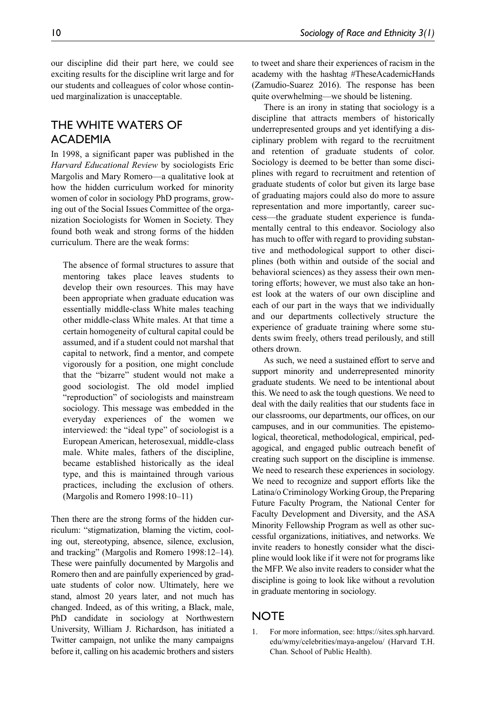our discipline did their part here, we could see exciting results for the discipline writ large and for our students and colleagues of color whose continued marginalization is unacceptable.

# THE WHITE WATERS OF **ACADEMIA**

In 1998, a significant paper was published in the *Harvard Educational Review* by sociologists Eric Margolis and Mary Romero—a qualitative look at how the hidden curriculum worked for minority women of color in sociology PhD programs, growing out of the Social Issues Committee of the organization Sociologists for Women in Society. They found both weak and strong forms of the hidden curriculum. There are the weak forms:

The absence of formal structures to assure that mentoring takes place leaves students to develop their own resources. This may have been appropriate when graduate education was essentially middle-class White males teaching other middle-class White males. At that time a certain homogeneity of cultural capital could be assumed, and if a student could not marshal that capital to network, find a mentor, and compete vigorously for a position, one might conclude that the "bizarre" student would not make a good sociologist. The old model implied "reproduction" of sociologists and mainstream sociology. This message was embedded in the everyday experiences of the women we interviewed: the "ideal type" of sociologist is a European American, heterosexual, middle-class male. White males, fathers of the discipline, became established historically as the ideal type, and this is maintained through various practices, including the exclusion of others. (Margolis and Romero 1998:10–11)

Then there are the strong forms of the hidden curriculum: "stigmatization, blaming the victim, cooling out, stereotyping, absence, silence, exclusion, and tracking" (Margolis and Romero 1998:12–14). These were painfully documented by Margolis and Romero then and are painfully experienced by graduate students of color now. Ultimately, here we stand, almost 20 years later, and not much has changed. Indeed, as of this writing, a Black, male, PhD candidate in sociology at Northwestern University, William J. Richardson, has initiated a Twitter campaign, not unlike the many campaigns before it, calling on his academic brothers and sisters to tweet and share their experiences of racism in the academy with the hashtag #TheseAcademicHands (Zamudio-Suarez 2016). The response has been quite overwhelming—we should be listening.

There is an irony in stating that sociology is a discipline that attracts members of historically underrepresented groups and yet identifying a disciplinary problem with regard to the recruitment and retention of graduate students of color. Sociology is deemed to be better than some disciplines with regard to recruitment and retention of graduate students of color but given its large base of graduating majors could also do more to assure representation and more importantly, career success—the graduate student experience is fundamentally central to this endeavor. Sociology also has much to offer with regard to providing substantive and methodological support to other disciplines (both within and outside of the social and behavioral sciences) as they assess their own mentoring efforts; however, we must also take an honest look at the waters of our own discipline and each of our part in the ways that we individually and our departments collectively structure the experience of graduate training where some students swim freely, others tread perilously, and still others drown.

As such, we need a sustained effort to serve and support minority and underrepresented minority graduate students. We need to be intentional about this. We need to ask the tough questions. We need to deal with the daily realities that our students face in our classrooms, our departments, our offices, on our campuses, and in our communities. The epistemological, theoretical, methodological, empirical, pedagogical, and engaged public outreach benefit of creating such support on the discipline is immense. We need to research these experiences in sociology. We need to recognize and support efforts like the Latina/o Criminology Working Group, the Preparing Future Faculty Program, the National Center for Faculty Development and Diversity, and the ASA Minority Fellowship Program as well as other successful organizations, initiatives, and networks. We invite readers to honestly consider what the discipline would look like if it were not for programs like the MFP. We also invite readers to consider what the discipline is going to look like without a revolution in graduate mentoring in sociology.

#### **NOTE**

1. For more information, see: https://sites.sph.harvard. edu/wmy/celebrities/maya-angelou/ (Harvard T.H. Chan. School of Public Health).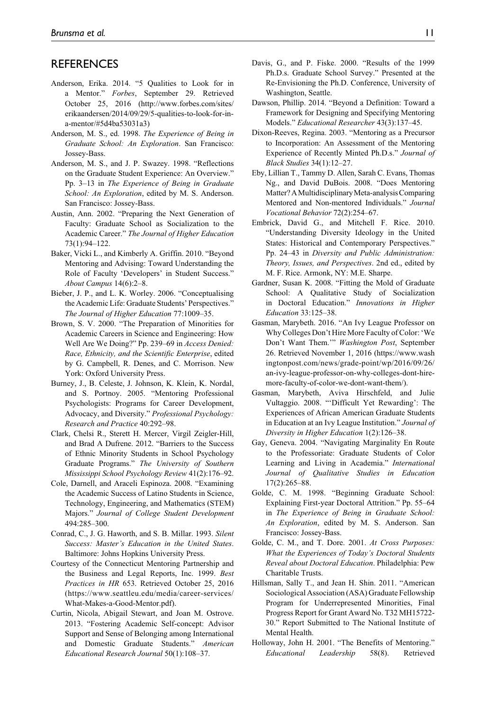#### **REFERENCES**

- Anderson, Erika. 2014. "5 Qualities to Look for in a Mentor." *Forbes*, September 29. Retrieved October 25, 2016 (http://www.forbes.com/sites/ erikaandersen/2014/09/29/5-qualities-to-look-for-ina-mentor/#5d4ba53031a3)
- Anderson, M. S., ed. 1998. *The Experience of Being in Graduate School: An Exploration*. San Francisco: Jossey-Bass.
- Anderson, M. S., and J. P. Swazey. 1998. "Reflections on the Graduate Student Experience: An Overview." Pp. 3–13 in *The Experience of Being in Graduate School: An Exploration*, edited by M. S. Anderson. San Francisco: Jossey-Bass.
- Austin, Ann. 2002. "Preparing the Next Generation of Faculty: Graduate School as Socialization to the Academic Career." *The Journal of Higher Education* 73(1):94–122.
- Baker, Vicki L., and Kimberly A. Griffin. 2010. "Beyond Mentoring and Advising: Toward Understanding the Role of Faculty 'Developers' in Student Success." *About Campus* 14(6):2–8.
- Bieber, J. P., and L. K. Worley. 2006. "Conceptualising the Academic Life: Graduate Students' Perspectives." *The Journal of Higher Education* 77:1009–35.
- Brown, S. V. 2000. "The Preparation of Minorities for Academic Careers in Science and Engineering: How Well Are We Doing?" Pp. 239–69 in *Access Denied: Race, Ethnicity, and the Scientific Enterprise*, edited by G. Campbell, R. Denes, and C. Morrison. New York: Oxford University Press.
- Burney, J., B. Celeste, J. Johnson, K. Klein, K. Nordal, and S. Portnoy. 2005. "Mentoring Professional Psychologists: Programs for Career Development, Advocacy, and Diversity." *Professional Psychology: Research and Practice* 40:292–98.
- Clark, Chelsi R., Sterett H. Mercer, Virgil Zeigler-Hill, and Brad A Dufrene. 2012. "Barriers to the Success of Ethnic Minority Students in School Psychology Graduate Programs." *The University of Southern Mississippi School Psychology Review* 41(2):176–92.
- Cole, Darnell, and Araceli Espinoza. 2008. "Examining the Academic Success of Latino Students in Science, Technology, Engineering, and Mathematics (STEM) Majors." *Journal of College Student Development* 494:285–300.
- Conrad, C., J. G. Haworth, and S. B. Millar. 1993. *Silent Success: Master's Education in the United States*. Baltimore: Johns Hopkins University Press.
- Courtesy of the Connecticut Mentoring Partnership and the Business and Legal Reports, Inc. 1999. *Best Practices in HR* 653. Retrieved October 25, 2016 (https://www.seattleu.edu/media/career-services/ What-Makes-a-Good-Mentor.pdf).
- Curtin, Nicola, Abigail Stewart, and Joan M. Ostrove. 2013. "Fostering Academic Self-concept: Advisor Support and Sense of Belonging among International and Domestic Graduate Students." *American Educational Research Journal* 50(1):108–37.
- Davis, G., and P. Fiske. 2000. "Results of the 1999 Ph.D.s. Graduate School Survey." Presented at the Re-Envisioning the Ph.D. Conference, University of Washington, Seattle.
- Dawson, Phillip. 2014. "Beyond a Definition: Toward a Framework for Designing and Specifying Mentoring Models." *Educational Researcher* 43(3):137–45.
- Dixon-Reeves, Regina. 2003. "Mentoring as a Precursor to Incorporation: An Assessment of the Mentoring Experience of Recently Minted Ph.D.s." *Journal of Black Studies* 34(1):12–27.
- Eby, Lillian T., Tammy D. Allen, Sarah C. Evans, Thomas Ng., and David DuBois. 2008. "Does Mentoring Matter? A Multidisciplinary Meta-analysis Comparing Mentored and Non-mentored Individuals." *Journal Vocational Behavior* 72(2):254–67.
- Embrick, David G., and Mitchell F. Rice. 2010. "Understanding Diversity Ideology in the United States: Historical and Contemporary Perspectives." Pp. 24–43 in *Diversity and Public Administration: Theory, Issues, and Perspectives*. 2nd ed., edited by M. F. Rice. Armonk, NY: M.E. Sharpe.
- Gardner, Susan K. 2008. "Fitting the Mold of Graduate School: A Qualitative Study of Socialization in Doctoral Education." *Innovations in Higher Education* 33:125–38.
- Gasman, Marybeth. 2016. "An Ivy League Professor on Why Colleges Don't Hire More Faculty of Color: 'We Don't Want Them.'" *Washington Post*, September 26. Retrieved November 1, 2016 [\(https://www.wash](https://www.washingtonpost.com/news/grade-point/wp/2016/09/26/an-ivy-league-professor-on-why-colleges-dont-hiremore-faculty-of-color-we-dont-want-them/)  [ingtonpost.com/news/grade-point/wp/2016/09/26/](https://www.washingtonpost.com/news/grade-point/wp/2016/09/26/an-ivy-league-professor-on-why-colleges-dont-hiremore-faculty-of-color-we-dont-want-them/) [an-ivy-league-professor-on-why-colleges-dont-hire](https://www.washingtonpost.com/news/grade-point/wp/2016/09/26/an-ivy-league-professor-on-why-colleges-dont-hiremore-faculty-of-color-we-dont-want-them/)[more-faculty-of-color-we-dont-want-them/\)](https://www.washingtonpost.com/news/grade-point/wp/2016/09/26/an-ivy-league-professor-on-why-colleges-dont-hiremore-faculty-of-color-we-dont-want-them/).
- Gasman, Marybeth, Aviva Hirschfeld, and Julie Vultaggio. 2008. "'Difficult Yet Rewarding': The Experiences of African American Graduate Students in Education at an Ivy League Institution." *Journal of Diversity in Higher Education* 1(2):126–38.
- Gay, Geneva. 2004. "Navigating Marginality En Route to the Professoriate: Graduate Students of Color Learning and Living in Academia." *International Journal of Qualitative Studies in Education* 17(2):265–88.
- Golde, C. M. 1998. "Beginning Graduate School: Explaining First-year Doctoral Attrition." Pp. 55–64 in *The Experience of Being in Graduate School: An Exploration*, edited by M. S. Anderson. San Francisco: Jossey-Bass.
- Golde, C. M., and T. Dore. 2001. *At Cross Purposes: What the Experiences of Today's Doctoral Students Reveal about Doctoral Education*. Philadelphia: Pew Charitable Trusts.
- Hillsman, Sally T., and Jean H. Shin. 2011. "American Sociological Association (ASA) Graduate Fellowship Program for Underrepresented Minorities, Final Progress Report for Grant Award No. T32 MH15722- 30." Report Submitted to The National Institute of Mental Health.
- Holloway, John H. 2001. "The Benefits of Mentoring." *Educational Leadership* 58(8). Retrieved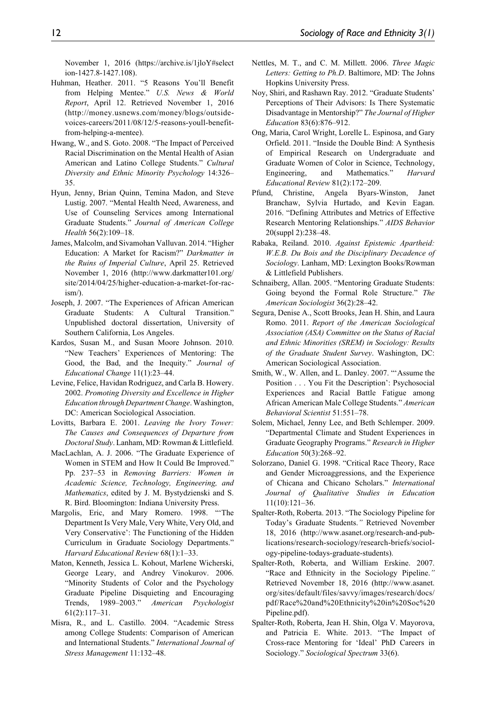November 1, 2016 (https://archive.is/1jloY#select ion-1427.8-1427.108).

- Huhman, Heather. 2011. "5 Reasons You'll Benefit from Helping Mentee." *U.S. News & World Report*, April 12. Retrieved November 1, 2016 (http://money.usnews.com/money/blogs/outsidevoices-careers/2011/08/12/5-reasons-youll-benefitfrom-helping-a-mentee).
- Hwang, W., and S. Goto. 2008. "The Impact of Perceived Racial Discrimination on the Mental Health of Asian American and Latino College Students." *Cultural Diversity and Ethnic Minority Psychology* 14:326– 35.
- Hyun, Jenny, Brian Quinn, Temina Madon, and Steve Lustig. 2007. "Mental Health Need, Awareness, and Use of Counseling Services among International Graduate Students." *Journal of American College Health* 56(2):109–18.
- James, Malcolm, and Sivamohan Valluvan. 2014. "Higher Education: A Market for Racism?" *Darkmatter in the Ruins of Imperial Culture*, April 25. Retrieved November 1, 2016 (http://www.darkmatter101.org/ site/2014/04/25/higher-education-a-market-for-racism/).
- Joseph, J. 2007. "The Experiences of African American Graduate Students: A Cultural Transition." Unpublished doctoral dissertation, University of Southern California, Los Angeles.
- Kardos, Susan M., and Susan Moore Johnson. 2010. "New Teachers' Experiences of Mentoring: The Good, the Bad, and the Inequity." *Journal of Educational Change* 11(1):23–44.
- Levine, Felice, Havidan Rodriguez, and Carla B. Howery. 2002. *Promoting Diversity and Excellence in Higher Education through Department Change*. Washington, DC: American Sociological Association.
- Lovitts, Barbara E. 2001. *Leaving the Ivory Tower: The Causes and Consequences of Departure from Doctoral Study*. Lanham, MD: Rowman & Littlefield.
- MacLachlan, A. J. 2006. "The Graduate Experience of Women in STEM and How It Could Be Improved." Pp. 237–53 in *Removing Barriers: Women in Academic Science, Technology, Engineering, and Mathematics*, edited by J. M. Bystydzienski and S. R. Bird. Bloomington: Indiana University Press.
- Margolis, Eric, and Mary Romero. 1998. "'The Department Is Very Male, Very White, Very Old, and Very Conservative': The Functioning of the Hidden Curriculum in Graduate Sociology Departments." *Harvard Educational Review* 68(1):1–33.
- Maton, Kenneth, Jessica L. Kohout, Marlene Wicherski, George Leary, and Andrey Vinokurov. 2006. "Minority Students of Color and the Psychology Graduate Pipeline Disquieting and Encouraging Trends, 1989–2003." *American Psychologist* 61(2):117–31.
- Misra, R., and L. Castillo. 2004. "Academic Stress among College Students: Comparison of American and International Students." *International Journal of Stress Management* 11:132–48.
- Nettles, M. T., and C. M. Millett. 2006. *Three Magic Letters: Getting to Ph.D*. Baltimore, MD: The Johns Hopkins University Press.
- Noy, Shiri, and Rashawn Ray. 2012. "Graduate Students' Perceptions of Their Advisors: Is There Systematic Disadvantage in Mentorship?" *The Journal of Higher Education* 83(6):876–912.
- Ong, Maria, Carol Wright, Lorelle L. Espinosa, and Gary Orfield. 2011. "Inside the Double Bind: A Synthesis of Empirical Research on Undergraduate and Graduate Women of Color in Science, Technology, Engineering, and Mathematics." *Harvard Educational Review* 81(2):172–209.
- Pfund, Christine, Angela Byars-Winston, Janet Branchaw, Sylvia Hurtado, and Kevin Eagan. 2016. "Defining Attributes and Metrics of Effective Research Mentoring Relationships." *AIDS Behavior* 20(suppl 2):238–48.
- Rabaka, Reiland. 2010. *Against Epistemic Apartheid: W.E.B. Du Bois and the Disciplinary Decadence of Sociology*. Lanham, MD: Lexington Books/Rowman & Littlefield Publishers.
- Schnaiberg, Allan. 2005. "Mentoring Graduate Students: Going beyond the Formal Role Structure." *The American Sociologist* 36(2):28–42.
- Segura, Denise A., Scott Brooks, Jean H. Shin, and Laura Romo. 2011. *Report of the American Sociological Association (ASA) Committee on the Status of Racial and Ethnic Minorities (SREM) in Sociology: Results of the Graduate Student Survey*. Washington, DC: American Sociological Association.
- Smith, W., W. Allen, and L. Danley. 2007. "'Assume the Position . . . You Fit the Description': Psychosocial Experiences and Racial Battle Fatigue among African American Male College Students." *American Behavioral Scientist* 51:551–78.
- Solem, Michael, Jenny Lee, and Beth Schlemper. 2009. "Departmental Climate and Student Experiences in Graduate Geography Programs." *Research in Higher Education* 50(3):268–92.
- Solorzano, Daniel G. 1998. "Critical Race Theory, Race and Gender Microaggressions, and the Experience of Chicana and Chicano Scholars." *International Journal of Qualitative Studies in Education* 11(10):121–36.
- Spalter-Roth, Roberta. 2013. "The Sociology Pipeline for Today's Graduate Students.*"* Retrieved November 18, 2016 (http://www.asanet.org/research-and-publications/research-sociology/research-briefs/sociology-pipeline-todays-graduate-students).
- Spalter-Roth, Roberta, and William Erskine. 2007. "Race and Ethnicity in the Sociology Pipeline.*"* Retrieved November 18, 2016 (http://www.asanet. org/sites/default/files/savvy/images/research/docs/ pdf/Race%20and%20Ethnicity%20in%20Soc%20 Pipeline.pdf).
- Spalter-Roth, Roberta, Jean H. Shin, Olga V. Mayorova, and Patricia E. White. 2013. "The Impact of Cross-race Mentoring for 'Ideal' PhD Careers in Sociology." *Sociological Spectrum* 33(6).